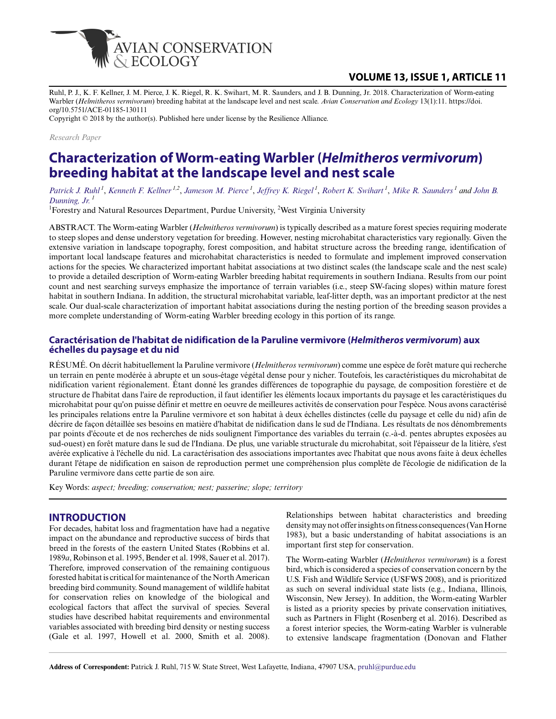

# **VOLUME 13, ISSUE 1, ARTICLE 11**

Ruhl, P. J., K. F. Kellner, J. M. Pierce, J. K. Riegel, R. K. Swihart, M. R. Saunders, and J. B. Dunning, Jr. 2018. Characterization of Worm-eating Warbler (*Helmitheros vermivorum*) breeding habitat at the landscape level and nest scale. *Avian Conservation and Ecology* 13(1):11. https://doi. org/10.5751/ACE-01185-130111

Copyright © 2018 by the author(s). Published here under license by the Resilience Alliance.

*Research Paper*

# **Characterization of Worm-eating Warbler (***Helmitheros vermivorum***) breeding habitat at the landscape level and nest scale**

[Patrick J. Ruhl](mailto:pruhl@purdue.edu)<sup>1</sup>, [Kenneth F. Kellner](mailto:kenneth.kellner@mail.wvu.edu)<sup>1,2</sup>, [Jameson M. Pierce](mailto:pierce48@purdue.edu)<sup>1</sup>, [Jeffrey K. Riegel](mailto:jriegel@purdue.edu)<sup>1</sup>, [Robert K. Swihart](mailto:rswihart@purdue.edu)<sup>1</sup>, [Mike R. Saunders](mailto:msaunder@purdue.edu)<sup>1</sup> and [John B.](mailto:jdunning@purdue.edu) *[Dunning, Jr.](mailto:jdunning@purdue.edu)<sup>1</sup>*

<sup>1</sup>Forestry and Natural Resources Department, Purdue University, <sup>2</sup>West Virginia University

ABSTRACT. The Worm-eating Warbler (*Helmitheros vermivorum*) is typically described as a mature forest species requiring moderate to steep slopes and dense understory vegetation for breeding. However, nesting microhabitat characteristics vary regionally. Given the extensive variation in landscape topography, forest composition, and habitat structure across the breeding range, identification of important local landscape features and microhabitat characteristics is needed to formulate and implement improved conservation actions for the species. We characterized important habitat associations at two distinct scales (the landscape scale and the nest scale) to provide a detailed description of Worm-eating Warbler breeding habitat requirements in southern Indiana. Results from our point count and nest searching surveys emphasize the importance of terrain variables (i.e., steep SW-facing slopes) within mature forest habitat in southern Indiana. In addition, the structural microhabitat variable, leaf-litter depth, was an important predictor at the nest scale. Our dual-scale characterization of important habitat associations during the nesting portion of the breeding season provides a more complete understanding of Worm-eating Warbler breeding ecology in this portion of its range.

#### **Caractérisation de l'habitat de nidification de la Paruline vermivore (***Helmitheros vermivorum***) aux échelles du paysage et du nid**

RÉSUMÉ. On décrit habituellement la Paruline vermivore (*Helmitheros vermivorum*) comme une espèce de forêt mature qui recherche un terrain en pente modérée à abrupte et un sous-étage végétal dense pour y nicher. Toutefois, les caractéristiques du microhabitat de nidification varient régionalement. Étant donné les grandes différences de topographie du paysage, de composition forestière et de structure de l'habitat dans l'aire de reproduction, il faut identifier les éléments locaux importants du paysage et les caractéristiques du microhabitat pour qu'on puisse définir et mettre en oeuvre de meilleures activités de conservation pour l'espèce. Nous avons caractérisé les principales relations entre la Paruline vermivore et son habitat à deux échelles distinctes (celle du paysage et celle du nid) afin de décrire de façon détaillée ses besoins en matière d'habitat de nidification dans le sud de l'Indiana. Les résultats de nos dénombrements par points d'écoute et de nos recherches de nids soulignent l'importance des variables du terrain (c.-à-d. pentes abruptes exposées au sud-ouest) en forêt mature dans le sud de l'Indiana. De plus, une variable structurale du microhabitat, soit l'épaisseur de la litière, s'est avérée explicative à l'échelle du nid. La caractérisation des associations importantes avec l'habitat que nous avons faite à deux échelles durant l'étape de nidification en saison de reproduction permet une compréhension plus complète de l'écologie de nidification de la Paruline vermivore dans cette partie de son aire.

Key Words: *aspect; breeding; conservation; nest; passerine; slope; territory*

#### **INTRODUCTION**

For decades, habitat loss and fragmentation have had a negative impact on the abundance and reproductive success of birds that breed in the forests of the eastern United States (Robbins et al. 1989*a*, Robinson et al. 1995, Bender et al. 1998, Sauer et al. 2017). Therefore, improved conservation of the remaining contiguous forested habitat is critical for maintenance of the North American breeding bird community. Sound management of wildlife habitat for conservation relies on knowledge of the biological and ecological factors that affect the survival of species. Several studies have described habitat requirements and environmental variables associated with breeding bird density or nesting success (Gale et al. 1997, Howell et al. 2000, Smith et al. 2008).

Relationships between habitat characteristics and breeding density may not offer insights on fitness consequences (Van Horne 1983), but a basic understanding of habitat associations is an important first step for conservation.

The Worm-eating Warbler (*Helmitheros vermivorum*) is a forest bird, which is considered a species of conservation concern by the U.S. Fish and Wildlife Service (USFWS 2008), and is prioritized as such on several individual state lists (e.g., Indiana, Illinois, Wisconsin, New Jersey). In addition, the Worm-eating Warbler is listed as a priority species by private conservation initiatives, such as Partners in Flight (Rosenberg et al. 2016). Described as a forest interior species, the Worm-eating Warbler is vulnerable to extensive landscape fragmentation (Donovan and Flather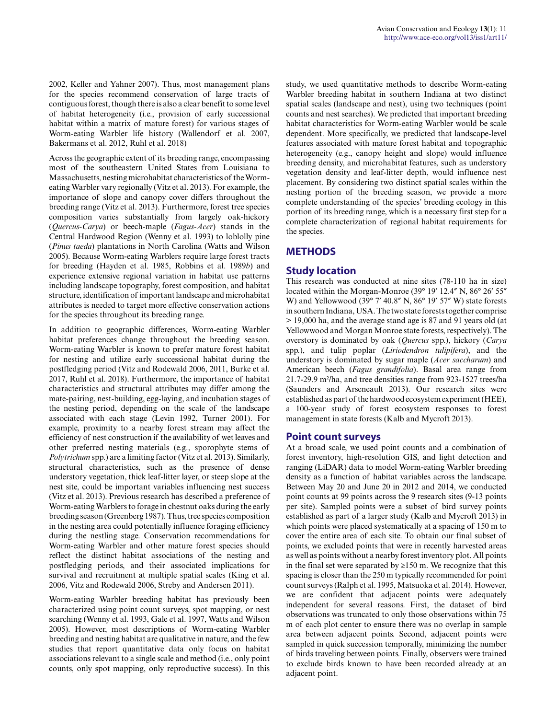2002, Keller and Yahner 2007). Thus, most management plans for the species recommend conservation of large tracts of contiguous forest, though there is also a clear benefit to some level of habitat heterogeneity (i.e., provision of early successional habitat within a matrix of mature forest) for various stages of Worm-eating Warbler life history (Wallendorf et al. 2007, Bakermans et al. 2012, Ruhl et al. 2018)

Across the geographic extent of its breeding range, encompassing most of the southeastern United States from Louisiana to Massachusetts, nesting microhabitat characteristics of the Wormeating Warbler vary regionally (Vitz et al. 2013). For example, the importance of slope and canopy cover differs throughout the breeding range (Vitz et al. 2013). Furthermore, forest tree species composition varies substantially from largely oak-hickory (*Quercus-Carya*) or beech-maple (*Fagus-Acer*) stands in the Central Hardwood Region (Wenny et al. 1993) to loblolly pine (*Pinus taeda*) plantations in North Carolina (Watts and Wilson 2005). Because Worm-eating Warblers require large forest tracts for breeding (Hayden et al. 1985, Robbins et al. 1989*b*) and experience extensive regional variation in habitat use patterns including landscape topography, forest composition, and habitat structure, identification of important landscape and microhabitat attributes is needed to target more effective conservation actions for the species throughout its breeding range.

In addition to geographic differences, Worm-eating Warbler habitat preferences change throughout the breeding season. Worm-eating Warbler is known to prefer mature forest habitat for nesting and utilize early successional habitat during the postfledging period (Vitz and Rodewald 2006, 2011, Burke et al. 2017, Ruhl et al. 2018). Furthermore, the importance of habitat characteristics and structural attributes may differ among the mate-pairing, nest-building, egg-laying, and incubation stages of the nesting period, depending on the scale of the landscape associated with each stage (Levin 1992, Turner 2001). For example, proximity to a nearby forest stream may affect the efficiency of nest construction if the availability of wet leaves and other preferred nesting materials (e.g., sporophyte stems of *Polytrichum* spp.) are a limiting factor (Vitz et al. 2013). Similarly, structural characteristics, such as the presence of dense understory vegetation, thick leaf-litter layer, or steep slope at the nest site, could be important variables influencing nest success (Vitz et al. 2013). Previous research has described a preference of Worm-eating Warblers to forage in chestnut oaks during the early breeding season (Greenberg 1987). Thus, tree species composition in the nesting area could potentially influence foraging efficiency during the nestling stage. Conservation recommendations for Worm-eating Warbler and other mature forest species should reflect the distinct habitat associations of the nesting and postfledging periods, and their associated implications for survival and recruitment at multiple spatial scales (King et al. 2006, Vitz and Rodewald 2006, Streby and Andersen 2011).

Worm-eating Warbler breeding habitat has previously been characterized using point count surveys, spot mapping, or nest searching (Wenny et al. 1993, Gale et al. 1997, Watts and Wilson 2005). However, most descriptions of Worm-eating Warbler breeding and nesting habitat are qualitative in nature, and the few studies that report quantitative data only focus on habitat associations relevant to a single scale and method (i.e., only point counts, only spot mapping, only reproductive success). In this

study, we used quantitative methods to describe Worm-eating Warbler breeding habitat in southern Indiana at two distinct spatial scales (landscape and nest), using two techniques (point counts and nest searches). We predicted that important breeding habitat characteristics for Worm-eating Warbler would be scale dependent. More specifically, we predicted that landscape-level features associated with mature forest habitat and topographic heterogeneity (e.g., canopy height and slope) would influence breeding density, and microhabitat features, such as understory vegetation density and leaf-litter depth, would influence nest placement. By considering two distinct spatial scales within the nesting portion of the breeding season, we provide a more complete understanding of the species' breeding ecology in this portion of its breeding range, which is a necessary first step for a complete characterization of regional habitat requirements for the species.

# **METHODS**

### **Study location**

This research was conducted at nine sites (78-110 ha in size) located within the Morgan-Monroe (39° 19′ 12.4″ N, 86° 26′ 55″ W) and Yellowwood (39° 7′ 40.8″ N, 86° 19′ 57″ W) state forests in southern Indiana, USA. The two state forests together comprise > 19,000 ha, and the average stand age is 87 and 91 years old (at Yellowwood and Morgan Monroe state forests, respectively). The overstory is dominated by oak (*Quercus* spp.), hickory (*Carya* spp.), and tulip poplar (*Liriodendron tulipifera*), and the understory is dominated by sugar maple (*Acer saccharum*) and American beech (*Fagus grandifolia*). Basal area range from 21.7-29.9 m²/ha, and tree densities range from 923-1527 trees/ha (Saunders and Arseneault 2013). Our research sites were established as part of the hardwood ecosystem experiment (HEE), a 100-year study of forest ecosystem responses to forest management in state forests (Kalb and Mycroft 2013).

#### **Point count surveys**

At a broad scale, we used point counts and a combination of forest inventory, high-resolution GIS, and light detection and ranging (LiDAR) data to model Worm-eating Warbler breeding density as a function of habitat variables across the landscape. Between May 20 and June 20 in 2012 and 2014, we conducted point counts at 99 points across the 9 research sites (9-13 points per site). Sampled points were a subset of bird survey points established as part of a larger study (Kalb and Mycroft 2013) in which points were placed systematically at a spacing of 150 m to cover the entire area of each site. To obtain our final subset of points, we excluded points that were in recently harvested areas as well as points without a nearby forest inventory plot. All points in the final set were separated by  $\geq 150$  m. We recognize that this spacing is closer than the 250 m typically recommended for point count surveys (Ralph et al. 1995, Matsuoka et al. 2014). However, we are confident that adjacent points were adequately independent for several reasons. First, the dataset of bird observations was truncated to only those observations within 75 m of each plot center to ensure there was no overlap in sample area between adjacent points. Second, adjacent points were sampled in quick succession temporally, minimizing the number of birds traveling between points. Finally, observers were trained to exclude birds known to have been recorded already at an adjacent point.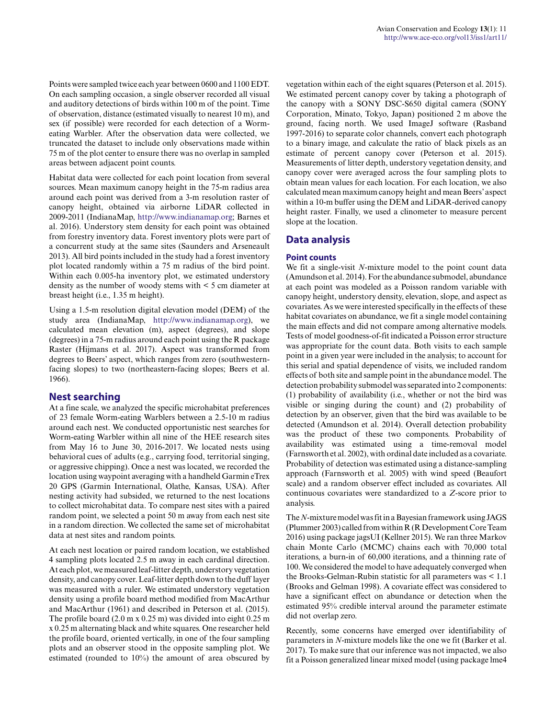Points were sampled twice each year between 0600 and 1100 EDT. On each sampling occasion, a single observer recorded all visual and auditory detections of birds within 100 m of the point. Time of observation, distance (estimated visually to nearest 10 m), and sex (if possible) were recorded for each detection of a Wormeating Warbler. After the observation data were collected, we truncated the dataset to include only observations made within 75 m of the plot center to ensure there was no overlap in sampled areas between adjacent point counts.

Habitat data were collected for each point location from several sources. Mean maximum canopy height in the 75-m radius area around each point was derived from a 3-m resolution raster of canopy height, obtained via airborne LiDAR collected in 2009-2011 (IndianaMap, [http://www.indianamap.org;](http://www.indianamap.org) Barnes et al. 2016). Understory stem density for each point was obtained from forestry inventory data. Forest inventory plots were part of a concurrent study at the same sites (Saunders and Arseneault 2013). All bird points included in the study had a forest inventory plot located randomly within a 75 m radius of the bird point. Within each 0.005-ha inventory plot, we estimated understory density as the number of woody stems with < 5 cm diameter at breast height (i.e., 1.35 m height).

Using a 1.5-m resolution digital elevation model (DEM) of the study area (IndianaMap, <http://www.indianamap.org>), we calculated mean elevation (m), aspect (degrees), and slope (degrees) in a 75-m radius around each point using the R package Raster (Hijmans et al. 2017). Aspect was transformed from degrees to Beers' aspect, which ranges from zero (southwesternfacing slopes) to two (northeastern-facing slopes; Beers et al. 1966).

#### **Nest searching**

At a fine scale, we analyzed the specific microhabitat preferences of 23 female Worm-eating Warblers between a 2.5-10 m radius around each nest. We conducted opportunistic nest searches for Worm-eating Warbler within all nine of the HEE research sites from May 16 to June 30, 2016-2017. We located nests using behavioral cues of adults (e.g., carrying food, territorial singing, or aggressive chipping). Once a nest was located, we recorded the location using waypoint averaging with a handheld Garmin eTrex 20 GPS (Garmin International, Olathe, Kansas, USA). After nesting activity had subsided, we returned to the nest locations to collect microhabitat data. To compare nest sites with a paired random point, we selected a point 50 m away from each nest site in a random direction. We collected the same set of microhabitat data at nest sites and random points.

At each nest location or paired random location, we established 4 sampling plots located 2.5 m away in each cardinal direction. At each plot, we measured leaf-litter depth, understory vegetation density, and canopy cover. Leaf-litter depth down to the duff layer was measured with a ruler. We estimated understory vegetation density using a profile board method modified from MacArthur and MacArthur (1961) and described in Peterson et al. (2015). The profile board (2.0 m x 0.25 m) was divided into eight 0.25 m x 0.25 m alternating black and white squares. One researcher held the profile board, oriented vertically, in one of the four sampling plots and an observer stood in the opposite sampling plot. We estimated (rounded to 10%) the amount of area obscured by vegetation within each of the eight squares (Peterson et al. 2015). We estimated percent canopy cover by taking a photograph of the canopy with a SONY DSC-S650 digital camera (SONY Corporation, Minato, Tokyo, Japan) positioned 2 m above the ground, facing north. We used ImageJ software (Rasband 1997-2016) to separate color channels, convert each photograph to a binary image, and calculate the ratio of black pixels as an estimate of percent canopy cover (Peterson et al. 2015). Measurements of litter depth, understory vegetation density, and canopy cover were averaged across the four sampling plots to obtain mean values for each location. For each location, we also calculated mean maximum canopy height and mean Beers' aspect within a 10-m buffer using the DEM and LiDAR-derived canopy height raster. Finally, we used a clinometer to measure percent slope at the location.

## **Data analysis**

#### **Point counts**

We fit a single-visit *N*-mixture model to the point count data (Amundson et al. 2014). For the abundance submodel, abundance at each point was modeled as a Poisson random variable with canopy height, understory density, elevation, slope, and aspect as covariates. As we were interested specifically in the effects of these habitat covariates on abundance, we fit a single model containing the main effects and did not compare among alternative models. Tests of model goodness-of-fit indicated a Poisson error structure was appropriate for the count data. Both visits to each sample point in a given year were included in the analysis; to account for this serial and spatial dependence of visits, we included random effects of both site and sample point in the abundance model. The detection probability submodel was separated into 2 components: (1) probability of availability (i.e., whether or not the bird was visible or singing during the count) and (2) probability of detection by an observer, given that the bird was available to be detected (Amundson et al. 2014). Overall detection probability was the product of these two components. Probability of availability was estimated using a time-removal model (Farnsworth et al. 2002), with ordinal date included as a covariate. Probability of detection was estimated using a distance-sampling approach (Farnsworth et al. 2005) with wind speed (Beaufort scale) and a random observer effect included as covariates. All continuous covariates were standardized to a *Z*-score prior to analysis.

The *N*-mixture model was fit in a Bayesian framework using JAGS (Plummer 2003) called from within R (R Development Core Team 2016) using package jagsUI (Kellner 2015). We ran three Markov chain Monte Carlo (MCMC) chains each with 70,000 total iterations, a burn-in of 60,000 iterations, and a thinning rate of 100. We considered the model to have adequately converged when the Brooks-Gelman-Rubin statistic for all parameters was < 1.1 (Brooks and Gelman 1998). A covariate effect was considered to have a significant effect on abundance or detection when the estimated 95% credible interval around the parameter estimate did not overlap zero.

Recently, some concerns have emerged over identifiability of parameters in *N*-mixture models like the one we fit (Barker et al. 2017). To make sure that our inference was not impacted, we also fit a Poisson generalized linear mixed model (using package lme4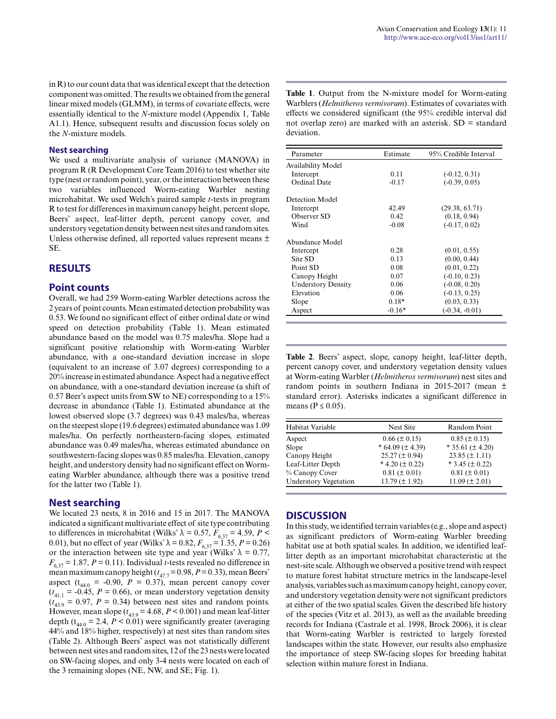in R) to our count data that was identical except that the detection component was omitted. The results we obtained from the general linear mixed models (GLMM), in terms of covariate effects, were essentially identical to the *N*-mixture model (Appendix 1, Table A1.1). Hence, subsequent results and discussion focus solely on the *N*-mixture models.

#### **Nest searching**

We used a multivariate analysis of variance (MANOVA) in program R (R Development Core Team 2016) to test whether site type (nest or random point), year, or the interaction between these two variables influenced Worm-eating Warbler nesting microhabitat. We used Welch's paired sample *t*-tests in program R to test for differences in maximum canopy height, percent slope, Beers' aspect, leaf-litter depth, percent canopy cover, and understory vegetation density between nest sites and random sites. Unless otherwise defined, all reported values represent means ± SE.

#### **RESULTS**

#### **Point counts**

Overall, we had 259 Worm-eating Warbler detections across the 2 years of point counts. Mean estimated detection probability was 0.53. We found no significant effect of either ordinal date or wind speed on detection probability (Table 1). Mean estimated abundance based on the model was 0.75 males/ha. Slope had a significant positive relationship with Worm-eating Warbler abundance, with a one-standard deviation increase in slope (equivalent to an increase of 3.07 degrees) corresponding to a 20% increase in estimated abundance. Aspect had a negative effect on abundance, with a one-standard deviation increase (a shift of 0.57 Beer's aspect units from SW to NE) corresponding to a 15% decrease in abundance (Table 1). Estimated abundance at the lowest observed slope (3.7 degrees) was 0.43 males/ha, whereas on the steepest slope (19.6 degrees) estimated abundance was 1.09 males/ha. On perfectly northeastern-facing slopes, estimated abundance was 0.49 males/ha, whereas estimated abundance on southwestern-facing slopes was 0.85 males/ha. Elevation, canopy height, and understory density had no significant effect on Wormeating Warbler abundance, although there was a positive trend for the latter two (Table 1).

#### **Nest searching**

We located 23 nests, 8 in 2016 and 15 in 2017. The MANOVA indicated a significant multivariate effect of site type contributing to differences in microhabitat (Wilks'  $\lambda = 0.57$ ,  $F_{6,37} = 4.59$ ,  $P <$ 0.01), but no effect of year (Wilks' λ = 0.82,  $F_{6,37} = 1.35$ ,  $P = 0.26$ ) or the interaction between site type and year (Wilks'  $\lambda = 0.77$ ,  $F_{6,37} = 1.87$ ,  $P = 0.11$ ). Individual *t*-tests revealed no difference in mean maximum canopy height (*t* 47.7 = 0.98, *P* = 0.33), mean Beers' aspect ( $t_{44.0}$  = -0.90, *P* = 0.37), mean percent canopy cover  $(t_{41.1} = -0.45, P = 0.66)$ , or mean understory vegetation density  $(t_{43.9} = 0.97, P = 0.34)$  between nest sites and random points. However, mean slope (*t* 43.9 = 4.68, *P* < 0.001) and mean leaf-litter depth  $(t_{44.0} = 2.4, P < 0.01)$  were significantly greater (averaging 44% and 18% higher, respectively) at nest sites than random sites (Table 2). Although Beers' aspect was not statistically different between nest sites and random sites, 12 of the 23 nests were located on SW-facing slopes, and only 3-4 nests were located on each of the 3 remaining slopes (NE, NW, and SE; Fig. 1).

| <b>Table 1.</b> Output from the N-mixture model for Worm-eating         |
|-------------------------------------------------------------------------|
| Warblers <i>(Helmitheros vermivorum)</i> . Estimates of covariates with |
| effects we considered significant (the 95% credible interval did        |
| not overlap zero) are marked with an asterisk. SD = standard            |
| deviation.                                                              |

| Parameter                 | Estimate | 95% Credible Interval |  |
|---------------------------|----------|-----------------------|--|
| Availability Model        |          |                       |  |
| Intercept                 | 0.11     | $(-0.12, 0.31)$       |  |
| Ordinal Date              | $-0.17$  | $(-0.39, 0.05)$       |  |
| Detection Model           |          |                       |  |
| Intercept                 | 42.49    | (29.38, 63.71)        |  |
| Observer SD               | 0.42     | (0.18, 0.94)          |  |
| Wind                      | $-0.08$  | $(-0.17, 0.02)$       |  |
| Abundance Model           |          |                       |  |
| Intercept                 | 0.28     | (0.01, 0.55)          |  |
| Site SD                   | 0.13     | (0.00, 0.44)          |  |
| Point SD                  | 0.08     | (0.01, 0.22)          |  |
| Canopy Height             | 0.07     | $(-0.10, 0.23)$       |  |
| <b>Understory Density</b> | 0.06     | $(-0.08, 0.20)$       |  |
| Elevation                 | 0.06     | $(-0.13, 0.25)$       |  |
| Slope                     | $0.18*$  | (0.03, 0.33)          |  |
| Aspect                    | $-0.16*$ | $(-0.34, -0.01)$      |  |

**Table 2**. Beers' aspect, slope, canopy height, leaf-litter depth, percent canopy cover, and understory vegetation density values at Worm-eating Warbler (*Helmitheros vermivorum*) nest sites and random points in southern Indiana in 2015-2017 (mean ± standard error). Asterisks indicates a significant difference in means ( $P \le 0.05$ ).

| Habitat Variable             | <b>Nest Site</b>        | Random Point            |
|------------------------------|-------------------------|-------------------------|
| Aspect                       | $0.66 (\pm 0.15)$       | $0.85 (\pm 0.15)$       |
| Slope                        | $*$ 64.09 ( $\pm$ 4.39) | $*$ 35.61 ( $\pm$ 4.20) |
| Canopy Height                | $25.27 (\pm 0.94)$      | $23.85 (\pm 1.11)$      |
| Leaf-Litter Depth            | $*$ 4.20 ( $\pm$ 0.22)  | $*$ 3.45 ( $\pm$ 0.22)  |
| % Canopy Cover               | $0.81 (\pm 0.01)$       | $0.81 (\pm 0.01)$       |
| <b>Understory Vegetation</b> | $13.79 \ (\pm 1.92)$    | $11.09 \ (\pm 2.01)$    |
|                              |                         |                         |

#### **DISCUSSION**

In this study, we identified terrain variables (e.g., slope and aspect) as significant predictors of Worm-eating Warbler breeding habitat use at both spatial scales. In addition, we identified leaflitter depth as an important microhabitat characteristic at the nest-site scale. Although we observed a positive trend with respect to mature forest habitat structure metrics in the landscape-level analysis, variables such as maximum canopy height, canopy cover, and understory vegetation density were not significant predictors at either of the two spatial scales. Given the described life history of the species (Vitz et al. 2013), as well as the available breeding records for Indiana (Castrale et al. 1998, Brock 2006), it is clear that Worm-eating Warbler is restricted to largely forested landscapes within the state. However, our results also emphasize the importance of steep SW-facing slopes for breeding habitat selection within mature forest in Indiana.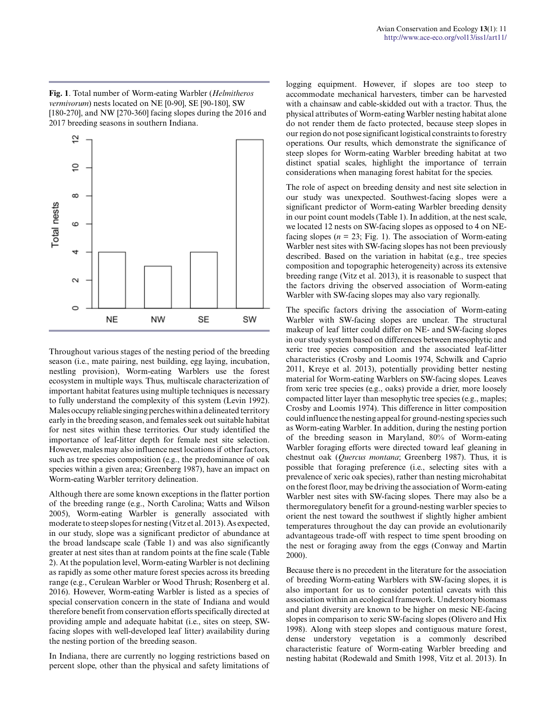**Fig. 1**. Total number of Worm-eating Warbler (*Helmitheros vermivorum*) nests located on NE [0-90], SE [90-180], SW [180-270], and NW [270-360] facing slopes during the 2016 and 2017 breeding seasons in southern Indiana.



Throughout various stages of the nesting period of the breeding season (i.e., mate pairing, nest building, egg laying, incubation, nestling provision), Worm-eating Warblers use the forest ecosystem in multiple ways. Thus, multiscale characterization of important habitat features using multiple techniques is necessary to fully understand the complexity of this system (Levin 1992). Males occupy reliable singing perches within a delineated territory early in the breeding season, and females seek out suitable habitat for nest sites within these territories. Our study identified the importance of leaf-litter depth for female nest site selection. However, males may also influence nest locations if other factors, such as tree species composition (e.g., the predominance of oak species within a given area; Greenberg 1987), have an impact on Worm-eating Warbler territory delineation.

Although there are some known exceptions in the flatter portion of the breeding range (e.g., North Carolina; Watts and Wilson 2005), Worm-eating Warbler is generally associated with moderate to steep slopes for nesting (Vitz et al. 2013). As expected, in our study, slope was a significant predictor of abundance at the broad landscape scale (Table 1) and was also significantly greater at nest sites than at random points at the fine scale (Table 2). At the population level, Worm-eating Warbler is not declining as rapidly as some other mature forest species across its breeding range (e.g., Cerulean Warbler or Wood Thrush; Rosenberg et al. 2016). However, Worm-eating Warbler is listed as a species of special conservation concern in the state of Indiana and would therefore benefit from conservation efforts specifically directed at providing ample and adequate habitat (i.e., sites on steep, SWfacing slopes with well-developed leaf litter) availability during the nesting portion of the breeding season.

In Indiana, there are currently no logging restrictions based on percent slope, other than the physical and safety limitations of

logging equipment. However, if slopes are too steep to accommodate mechanical harvesters, timber can be harvested with a chainsaw and cable-skidded out with a tractor. Thus, the physical attributes of Worm-eating Warbler nesting habitat alone do not render them de facto protected, because steep slopes in our region do not pose significant logistical constraints to forestry operations. Our results, which demonstrate the significance of steep slopes for Worm-eating Warbler breeding habitat at two distinct spatial scales, highlight the importance of terrain considerations when managing forest habitat for the species.

The role of aspect on breeding density and nest site selection in our study was unexpected. Southwest-facing slopes were a significant predictor of Worm-eating Warbler breeding density in our point count models (Table 1). In addition, at the nest scale, we located 12 nests on SW-facing slopes as opposed to 4 on NEfacing slopes ( $n = 23$ ; Fig. 1). The association of Worm-eating Warbler nest sites with SW-facing slopes has not been previously described. Based on the variation in habitat (e.g., tree species composition and topographic heterogeneity) across its extensive breeding range (Vitz et al. 2013), it is reasonable to suspect that the factors driving the observed association of Worm-eating Warbler with SW-facing slopes may also vary regionally.

The specific factors driving the association of Worm-eating Warbler with SW-facing slopes are unclear. The structural makeup of leaf litter could differ on NE- and SW-facing slopes in our study system based on differences between mesophytic and xeric tree species composition and the associated leaf-litter characteristics (Crosby and Loomis 1974, Schwilk and Caprio 2011, Kreye et al. 2013), potentially providing better nesting material for Worm-eating Warblers on SW-facing slopes. Leaves from xeric tree species (e.g., oaks) provide a drier, more loosely compacted litter layer than mesophytic tree species (e.g., maples; Crosby and Loomis 1974). This difference in litter composition could influence the nesting appeal for ground-nesting species such as Worm-eating Warbler. In addition, during the nesting portion of the breeding season in Maryland, 80% of Worm-eating Warbler foraging efforts were directed toward leaf gleaning in chestnut oak (*Quercus montana*; Greenberg 1987). Thus, it is possible that foraging preference (i.e., selecting sites with a prevalence of xeric oak species), rather than nesting microhabitat on the forest floor, may be driving the association of Worm-eating Warbler nest sites with SW-facing slopes. There may also be a thermoregulatory benefit for a ground-nesting warbler species to orient the nest toward the southwest if slightly higher ambient temperatures throughout the day can provide an evolutionarily advantageous trade-off with respect to time spent brooding on the nest or foraging away from the eggs (Conway and Martin 2000).

Because there is no precedent in the literature for the association of breeding Worm-eating Warblers with SW-facing slopes, it is also important for us to consider potential caveats with this association within an ecological framework. Understory biomass and plant diversity are known to be higher on mesic NE-facing slopes in comparison to xeric SW-facing slopes (Olivero and Hix 1998). Along with steep slopes and contiguous mature forest, dense understory vegetation is a commonly described characteristic feature of Worm-eating Warbler breeding and nesting habitat (Rodewald and Smith 1998, Vitz et al. 2013). In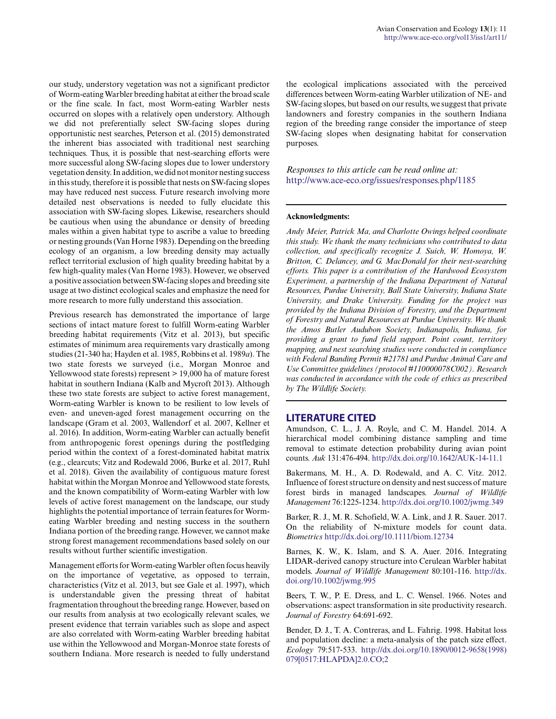our study, understory vegetation was not a significant predictor of Worm-eating Warbler breeding habitat at either the broad scale or the fine scale. In fact, most Worm-eating Warbler nests occurred on slopes with a relatively open understory. Although we did not preferentially select SW-facing slopes during opportunistic nest searches, Peterson et al. (2015) demonstrated the inherent bias associated with traditional nest searching techniques. Thus, it is possible that nest-searching efforts were more successful along SW-facing slopes due to lower understory vegetation density. In addition, we did not monitor nesting success in this study, therefore it is possible that nests on SW-facing slopes may have reduced nest success. Future research involving more detailed nest observations is needed to fully elucidate this association with SW-facing slopes. Likewise, researchers should be cautious when using the abundance or density of breeding males within a given habitat type to ascribe a value to breeding or nesting grounds (Van Horne 1983). Depending on the breeding ecology of an organism, a low breeding density may actually reflect territorial exclusion of high quality breeding habitat by a few high-quality males (Van Horne 1983). However, we observed a positive association between SW-facing slopes and breeding site usage at two distinct ecological scales and emphasize the need for more research to more fully understand this association.

Previous research has demonstrated the importance of large sections of intact mature forest to fulfill Worm-eating Warbler breeding habitat requirements (Vitz et al. 2013), but specific estimates of minimum area requirements vary drastically among studies (21-340 ha; Hayden et al. 1985, Robbins et al. 1989*a*). The two state forests we surveyed (i.e., Morgan Monroe and Yellowwood state forests) represent > 19,000 ha of mature forest habitat in southern Indiana (Kalb and Mycroft 2013). Although these two state forests are subject to active forest management, Worm-eating Warbler is known to be resilient to low levels of even- and uneven-aged forest management occurring on the landscape (Gram et al. 2003, Wallendorf et al. 2007, Kellner et al. 2016). In addition, Worm-eating Warbler can actually benefit from anthropogenic forest openings during the postfledging period within the context of a forest-dominated habitat matrix (e.g., clearcuts; Vitz and Rodewald 2006, Burke et al. 2017, Ruhl et al. 2018). Given the availability of contiguous mature forest habitat within the Morgan Monroe and Yellowwood state forests, and the known compatibility of Worm-eating Warbler with low levels of active forest management on the landscape, our study highlights the potential importance of terrain features for Wormeating Warbler breeding and nesting success in the southern Indiana portion of the breeding range. However, we cannot make strong forest management recommendations based solely on our results without further scientific investigation.

Management efforts for Worm-eating Warbler often focus heavily on the importance of vegetative, as opposed to terrain, characteristics (Vitz et al. 2013, but see Gale et al. 1997), which is understandable given the pressing threat of habitat fragmentation throughout the breeding range. However, based on our results from analysis at two ecologically relevant scales, we present evidence that terrain variables such as slope and aspect are also correlated with Worm-eating Warbler breeding habitat use within the Yellowwood and Morgan-Monroe state forests of southern Indiana. More research is needed to fully understand the ecological implications associated with the perceived differences between Worm-eating Warbler utilization of NE- and SW-facing slopes, but based on our results, we suggest that private landowners and forestry companies in the southern Indiana region of the breeding range consider the importance of steep SW-facing slopes when designating habitat for conservation purposes.

*Responses to this article can be read online at:* <http://www.ace-eco.org/issues/responses.php/1185>

#### **Acknowledgments:**

*Andy Meier, Patrick Ma, and Charlotte Owings helped coordinate this study. We thank the many technicians who contributed to data collection, and specifically recognize J. Suich, W. Homoya, W. Britton, C. Delancey, and G. MacDonald for their nest-searching efforts. This paper is a contribution of the Hardwood Ecosystem Experiment, a partnership of the Indiana Department of Natural Resources, Purdue University, Ball State University, Indiana State University, and Drake University. Funding for the project was provided by the Indiana Division of Forestry, and the Department of Forestry and Natural Resources at Purdue University. We thank the Amos Butler Audubon Society, Indianapolis, Indiana, for providing a grant to fund field support. Point count, territory mapping, and nest searching studies were conducted in compliance with Federal Banding Permit #21781 and Purdue Animal Care and Use Committee guidelines (protocol #110000078C002). Research was conducted in accordance with the code of ethics as prescribed by The Wildlife Society.*

#### **LITERATURE CITED**

Amundson, C. L., J. A. Royle, and C. M. Handel. 2014. A hierarchical model combining distance sampling and time removal to estimate detection probability during avian point counts. *Auk* 131:476-494. [http://dx.doi.org/10.1642/AUK-14-11.1](http://dx.doi.org/10.1642%2FAUK-14-11.1) 

Bakermans, M. H., A. D. Rodewald, and A. C. Vitz. 2012. Influence of forest structure on density and nest success of mature forest birds in managed landscapes. *Journal of Wildlife Management* 76:1225-1234. [http://dx.doi.org/10.1002/jwmg.349](http://dx.doi.org/10.1002%2Fjwmg.349)

Barker, R. J., M. R. Schofield, W. A. Link, and J. R. Sauer. 2017. On the reliability of N-mixture models for count data. *Biometrics* [http://dx.doi.org/10.1111/biom.12734](http://dx.doi.org/10.1111%2Fbiom.12734)

Barnes, K. W., K. Islam, and S. A. Auer. 2016. Integrating LIDAR-derived canopy structure into Cerulean Warbler habitat models. *Journal of Wildlife Management* 80:101-116. [http://dx.](http://dx.doi.org/10.1002%2Fjwmg.995) [doi.org/10.1002/jwmg.995](http://dx.doi.org/10.1002%2Fjwmg.995) 

Beers, T. W., P. E. Dress, and L. C. Wensel. 1966. Notes and observations: aspect transformation in site productivity research. *Journal of Forestry* 64:691-692.

Bender, D. J., T. A. Contreras, and L. Fahrig. 1998. Habitat loss and population decline: a meta-analysis of the patch size effect. *Ecology* 79:517-533. [http://dx.doi.org/10.1890/0012-9658\(1998\)](http://dx.doi.org/10.1890%2F0012-9658%281998%29079%5B0517%3AHLAPDA%5D2.0.CO%3B2) [079\[0517:HLAPDA\]2.0.CO;2](http://dx.doi.org/10.1890%2F0012-9658%281998%29079%5B0517%3AHLAPDA%5D2.0.CO%3B2)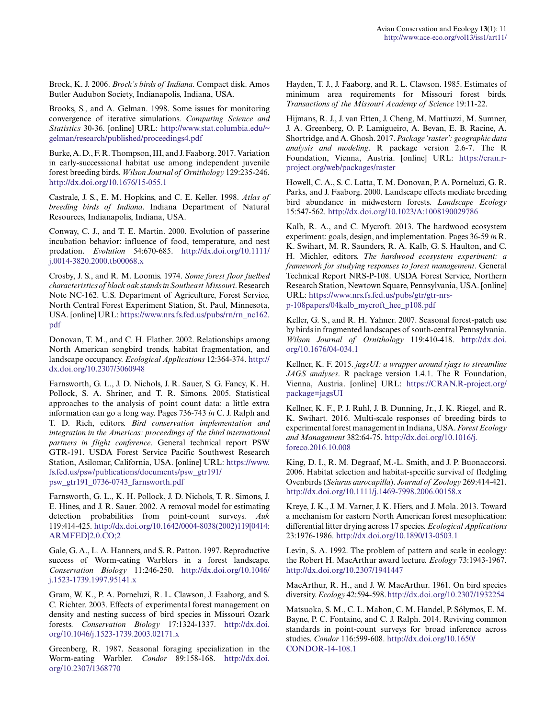Brock, K. J. 2006. *Brock's birds of Indiana*. Compact disk. Amos Butler Audubon Society, Indianapolis, Indiana, USA.

Brooks, S., and A. Gelman. 1998. Some issues for monitoring convergence of iterative simulations. *Computing Science and Statistics* 30-36. [online] URL: [http://www.stat.columbia.edu/~](http://www.stat.columbia.edu/~gelman/research/published/proceedings4.pdf) [gelman/research/published/proceedings4.pdf](http://www.stat.columbia.edu/~gelman/research/published/proceedings4.pdf)

Burke, A. D., F. R. Thompson, III, and J. Faaborg. 2017. Variation in early-successional habitat use among independent juvenile forest breeding birds. *Wilson Journal of Ornithology* 129:235-246. [http://dx.doi.org/10.1676/15-055.1](http://dx.doi.org/10.1676%2F15-055.1) 

Castrale, J. S., E. M. Hopkins, and C. E. Keller. 1998. *Atlas of breeding birds of Indiana*. Indiana Department of Natural Resources, Indianapolis, Indiana, USA.

Conway, C. J., and T. E. Martin. 2000. Evolution of passerine incubation behavior: influence of food, temperature, and nest predation. *Evolution* 54:670-685. [http://dx.doi.org/10.1111/](http://dx.doi.org/10.1111%2Fj.0014-3820.2000.tb00068.x) [j.0014-3820.2000.tb00068.x](http://dx.doi.org/10.1111%2Fj.0014-3820.2000.tb00068.x)

Crosby, J. S., and R. M. Loomis. 1974. *Some forest floor fuelbed characteristics of black oak stands in Southeast Missouri*. Research Note NC-162. U.S. Department of Agriculture, Forest Service, North Central Forest Experiment Station, St. Paul, Minnesota, USA. [online] URL: [https://www.nrs.fs.fed.us/pubs/rn/rn\\_nc162.](https://www.nrs.fs.fed.us/pubs/rn/rn_nc162.pdf) [pdf](https://www.nrs.fs.fed.us/pubs/rn/rn_nc162.pdf)

Donovan, T. M., and C. H. Flather. 2002. Relationships among North American songbird trends, habitat fragmentation, and landscape occupancy. *Ecological Applications* 12:364-374. [http://](http://dx.doi.org/10.2307/3060948) [dx.doi.org/10.2307/3060948](http://dx.doi.org/10.2307/3060948)

Farnsworth, G. L., J. D. Nichols, J. R. Sauer, S. G. Fancy, K. H. Pollock, S. A. Shriner, and T. R. Simons. 2005. Statistical approaches to the analysis of point count data: a little extra information can go a long way. Pages 736-743 *in* C. J. Ralph and T. D. Rich, editors. *Bird conservation implementation and integration in the Americas: proceedings of the third international partners in flight conference*. General technical report PSW GTR-191. USDA Forest Service Pacific Southwest Research Station, Asilomar, California, USA. [online] URL: [https://www.](https://www.fs.fed.us/psw/publications/documents/psw_gtr191/psw_gtr191_0736-0743_farnsworth.pdf) [fs.fed.us/psw/publications/documents/psw\\_gtr191/](https://www.fs.fed.us/psw/publications/documents/psw_gtr191/psw_gtr191_0736-0743_farnsworth.pdf) [psw\\_gtr191\\_0736-0743\\_farnsworth.pdf](https://www.fs.fed.us/psw/publications/documents/psw_gtr191/psw_gtr191_0736-0743_farnsworth.pdf)

Farnsworth, G. L., K. H. Pollock, J. D. Nichols, T. R. Simons, J. E. Hines, and J. R. Sauer. 2002. A removal model for estimating detection probabilities from point-count surveys. *Auk* 119:414-425. [http://dx.doi.org/10.1642/0004-8038\(2002\)119\[0414:](http://dx.doi.org/10.1642%2F0004-8038%282002%29119%5B0414%3AARMFED%5D2.0.CO%3B2) [ARMFED\]2.0.CO;2](http://dx.doi.org/10.1642%2F0004-8038%282002%29119%5B0414%3AARMFED%5D2.0.CO%3B2) 

Gale, G. A., L. A. Hanners, and S. R. Patton. 1997. Reproductive success of Worm-eating Warblers in a forest landscape. *Conservation Biology* 11:246-250. [http://dx.doi.org/10.1046/](http://dx.doi.org/10.1046%2Fj.1523-1739.1997.95141.x) [j.1523-1739.1997.95141.x](http://dx.doi.org/10.1046%2Fj.1523-1739.1997.95141.x)

Gram, W. K., P. A. Porneluzi, R. L. Clawson, J. Faaborg, and S. C. Richter. 2003. Effects of experimental forest management on density and nesting success of bird species in Missouri Ozark forests. *Conservation Biology* 17:1324-1337. [http://dx.doi.](http://dx.doi.org/10.1046%2Fj.1523-1739.2003.02171.x) [org/10.1046/j.1523-1739.2003.02171.x](http://dx.doi.org/10.1046%2Fj.1523-1739.2003.02171.x)

Greenberg, R. 1987. Seasonal foraging specialization in the Worm-eating Warbler. *Condor* 89:158-168. [http://dx.doi.](http://dx.doi.org/10.2307%2F1368770) [org/10.2307/1368770](http://dx.doi.org/10.2307%2F1368770) 

Hayden, T. J., J. Faaborg, and R. L. Clawson. 1985. Estimates of minimum area requirements for Missouri forest birds. *Transactions of the Missouri Academy of Science* 19:11-22.

Hijmans, R. J., J. van Etten, J. Cheng, M. Mattiuzzi, M. Sumner, J. A. Greenberg, O. P. Lamigueiro, A. Bevan, E. B. Racine, A. Shortridge, and A. Ghosh. 2017. *Package 'raster': geographic data analysis and modeling*. R package version 2.6-7. The R Foundation, Vienna, Austria. [online] URL: [https://cran.r](https://cran.r-project.org/web/packages/raster)[project.org/web/packages/raster](https://cran.r-project.org/web/packages/raster) 

Howell, C. A., S. C. Latta, T. M. Donovan, P. A. Porneluzi, G. R. Parks, and J. Faaborg. 2000. Landscape effects mediate breeding bird abundance in midwestern forests. *Landscape Ecology* 15:547-562. [http://dx.doi.org/10.1023/A:1008190029786](http://dx.doi.org/10.1023%2FA%3A1008190029786)

Kalb, R. A., and C. Mycroft. 2013. The hardwood ecosystem experiment: goals, design, and implementation. Pages 36-59 *in* R. K. Swihart, M. R. Saunders, R. A. Kalb, G. S. Haulton, and C. H. Michler, editors. *The hardwood ecosystem experiment: a framework for studying responses to forest management*. General Technical Report NRS-P-108. USDA Forest Service, Northern Research Station, Newtown Square, Pennsylvania, USA. [online] URL: [https://www.nrs.fs.fed.us/pubs/gtr/gtr-nrs-](https://www.nrs.fs.fed.us/pubs/gtr/gtr-nrs-p-108papers/04kalb_mycroft_hee_p108.pdf)

[p-108papers/04kalb\\_mycroft\\_hee\\_p108.pdf](https://www.nrs.fs.fed.us/pubs/gtr/gtr-nrs-p-108papers/04kalb_mycroft_hee_p108.pdf)

Keller, G. S., and R. H. Yahner. 2007. Seasonal forest-patch use by birds in fragmented landscapes of south-central Pennsylvania. *Wilson Journal of Ornithology* 119:410-418. [http://dx.doi.](http://dx.doi.org/10.1676%2F04-034.1) [org/10.1676/04-034.1](http://dx.doi.org/10.1676%2F04-034.1) 

Kellner, K. F. 2015. *jagsUI: a wrapper around rjags to streamline JAGS analyses*. R package version 1.4.1. The R Foundation, Vienna, Austria. [online] URL: [https://CRAN.R-project.org/](https://CRAN.R-project.org/package=jagsUI) [package=jagsUI](https://CRAN.R-project.org/package=jagsUI) 

Kellner, K. F., P. J. Ruhl, J. B. Dunning, Jr., J. K. Riegel, and R. K. Swihart. 2016. Multi-scale responses of breeding birds to experimental forest management in Indiana, USA. *Forest Ecology and Management* 382:64-75. [http://dx.doi.org/10.1016/j.](http://dx.doi.org/10.1016%2Fj.foreco.2016.10.008) [foreco.2016.10.008](http://dx.doi.org/10.1016%2Fj.foreco.2016.10.008)

King, D. I., R. M. Degraaf, M.-L. Smith, and J. P. Buonaccorsi. 2006. Habitat selection and habitat-specific survival of fledgling Ovenbirds (*Seiurus aurocapilla*). *Journal of Zoology* 269:414-421. [http://dx.doi.org/10.1111/j.1469-7998.2006.00158.x](http://dx.doi.org/10.1111%2Fj.1469-7998.2006.00158.x) 

Kreye, J. K., J. M. Varner, J. K. Hiers, and J. Mola. 2013. Toward a mechanism for eastern North American forest mesophication: differential litter drying across 17 species. *Ecological Applications* 23:1976-1986. [http://dx.doi.org/10.1890/13-0503.1](http://dx.doi.org/10.1890%2F13-0503.1)

Levin, S. A. 1992. The problem of pattern and scale in ecology: the Robert H. MacArthur award lecture. *Ecology* 73:1943-1967. [http://dx.doi.org/10.2307/1941447](http://dx.doi.org/10.2307%2F1941447) 

MacArthur, R. H., and J. W. MacArthur. 1961. On bird species diversity. *Ecology* 42:594-598. [http://dx.doi.org/10.2307/1932254](http://dx.doi.org/10.2307%2F1932254) 

Matsuoka, S. M., C. L. Mahon, C. M. Handel, P. Sólymos, E. M. Bayne, P. C. Fontaine, and C. J. Ralph. 2014. Reviving common standards in point-count surveys for broad inference across studies. *Condor* 116:599-608. [http://dx.doi.org/10.1650/](http://dx.doi.org/10.1650%2FCONDOR-14-108.1) [CONDOR-14-108.1](http://dx.doi.org/10.1650%2FCONDOR-14-108.1)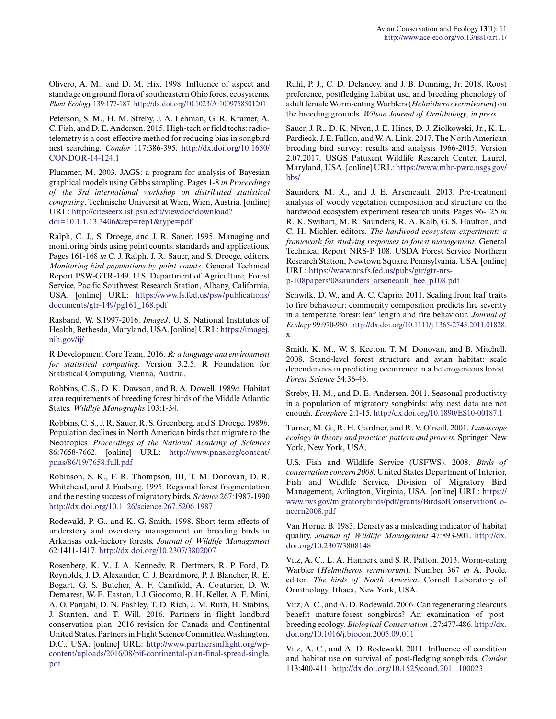Olivero, A. M., and D. M. Hix. 1998. Influence of aspect and stand age on ground flora of southeastern Ohio forest ecosystems. *Plant Ecology* 139:177-187. [http://dx.doi.org/10.1023/A:1009758501201](http://dx.doi.org/10.1023%2FA%3A1009758501201)

Peterson, S. M., H. M. Streby, J. A. Lehman, G. R. Kramer, A. C. Fish, and D. E. Andersen. 2015. High-tech or field techs: radiotelemetry is a cost-effective method for reducing bias in songbird nest searching. *Condor* 117:386-395. [http://dx.doi.org/10.1650/](http://dx.doi.org/10.1650%2FCONDOR-14-124.1) [CONDOR-14-124.1](http://dx.doi.org/10.1650%2FCONDOR-14-124.1) 

Plummer, M. 2003. JAGS: a program for analysis of Bayesian graphical models using Gibbs sampling. Pages 1-8 *in Proceedings of the 3rd international workshop on distributed statistical computing*. Technische Universit at Wien, Wien, Austria. [online] URL: [http://citeseerx.ist.psu.edu/viewdoc/download?](http://citeseerx.ist.psu.edu/viewdoc/download?doi=10.1.1.13.3406&rep=rep1&type=pdf) [doi=10.1.1.13.3406&rep=rep1&type=pdf](http://citeseerx.ist.psu.edu/viewdoc/download?doi=10.1.1.13.3406&rep=rep1&type=pdf)

Ralph, C. J., S. Droege, and J. R. Sauer. 1995. Managing and monitoring birds using point counts: standards and applications. Pages 161-168 *in* C. J. Ralph, J. R. Sauer, and S. Droege, editors. *Monitoring bird populations by point counts*. General Technical Report PSW-GTR-149. U.S. Department of Agriculture, Forest Service, Pacific Southwest Research Station, Albany, California, USA. [online] URL: [https://www.fs.fed.us/psw/publications/](https://www.fs.fed.us/psw/publications/documents/gtr-149/pg161_168.pdf) [documents/gtr-149/pg161\\_168.pdf](https://www.fs.fed.us/psw/publications/documents/gtr-149/pg161_168.pdf)

Rasband, W. S.1997-2016. *ImageJ*. U. S. National Institutes of Health, Bethesda, Maryland, USA. [online] URL: [https://imagej.](https://imagej.nih.gov/ij/) [nih.gov/ij/](https://imagej.nih.gov/ij/)

R Development Core Team. 2016. *R: a language and environment for statistical computing*. Version 3.2.5. R Foundation for Statistical Computing, Vienna, Austria.

Robbins, C. S., D. K. Dawson, and B. A. Dowell. 1989*a*. Habitat area requirements of breeding forest birds of the Middle Atlantic States. *Wildlife Monographs* 103:1-34.

Robbins, C. S., J. R. Sauer, R. S. Greenberg, and S. Droege. 1989*b*. Population declines in North American birds that migrate to the Neotropics. *Proceedings of the National Academy of Sciences* 86:7658-7662. [online] URL: [http://www.pnas.org/content/](http://www.pnas.org/content/pnas/86/19/7658.full.pdf) [pnas/86/19/7658.full.pdf](http://www.pnas.org/content/pnas/86/19/7658.full.pdf)

Robinson, S. K., F. R. Thompson, III, T. M. Donovan, D. R. Whitehead, and J. Faaborg. 1995. Regional forest fragmentation and the nesting success of migratory birds. *Science* 267:1987-1990 [http://dx.doi.org/10.1126/science.267.5206.1987](http://dx.doi.org/10.1126%2Fscience.267.5206.1987)

Rodewald, P. G., and K. G. Smith. 1998. Short-term effects of understory and overstory management on breeding birds in Arkansas oak-hickory forests. *Journal of Wildlife Management* 62:1411-1417. [http://dx.doi.org/10.2307/3802007](http://dx.doi.org/10.2307%2F3802007) 

Rosenberg, K. V., J. A. Kennedy, R. Dettmers, R. P. Ford, D. Reynolds, J. D. Alexander, C. J. Beardmore, P. J. Blancher, R. E. Bogart, G. S. Butcher, A. F. Camfield, A. Couturier, D. W. Demarest, W. E. Easton, J. J. Giocomo, R. H. Keller, A. E. Mini, A. O. Panjabi, D. N. Pashley, T. D. Rich, J. M. Ruth, H. Stabins, J. Stanton, and T. Will. 2016. Partners in flight landbird conservation plan: 2016 revision for Canada and Continental United States. Partners in Flight Science Committee,Washington, D.C., USA. [online] URL: [http://www.partnersinflight.org/wp](http://www.partnersinflight.org/wp-content/uploads/2016/08/pif-continental-plan-final-spread-single.pdf)[content/uploads/2016/08/pif-continental-plan-final-spread-single.](http://www.partnersinflight.org/wp-content/uploads/2016/08/pif-continental-plan-final-spread-single.pdf) [pdf](http://www.partnersinflight.org/wp-content/uploads/2016/08/pif-continental-plan-final-spread-single.pdf)

Ruhl, P. J., C. D. Delancey, and J. B. Dunning, Jr. 2018. Roost preference, postfledging habitat use, and breeding phenology of adult female Worm-eating Warblers (*Helmitheros vermivorum*) on the breeding grounds. *Wilson Journal of Ornithology*, *in press*.

Sauer, J. R., D. K. Niven, J. E. Hines, D. J. Ziolkowski, Jr., K. L. Pardieck, J. E. Fallon, and W. A. Link. 2017. The North American breeding bird survey: results and analysis 1966-2015. Version 2.07.2017. USGS Patuxent Wildlife Research Center, Laurel, Maryland, USA. [online] URL: [https://www.mbr-pwrc.usgs.gov/](https://www.mbr-pwrc.usgs.gov/bbs/) [bbs/](https://www.mbr-pwrc.usgs.gov/bbs/) 

Saunders, M. R., and J. E. Arseneault. 2013. Pre-treatment analysis of woody vegetation composition and structure on the hardwood ecosystem experiment research units. Pages 96-125 *in* R. K. Swihart, M. R. Saunders, R. A. Kalb, G. S. Haulton, and C. H. Michler, editors. *The hardwood ecosystem experiment: a framework for studying responses to forest management*. General Technical Report NRS-P 108. USDA Forest Service Northern Research Station, Newtown Square, Pennsylvania, USA. [online] URL: [https://www.nrs.fs.fed.us/pubs/gtr/gtr-nrs-](https://www.nrs.fs.fed.us/pubs/gtr/gtr-nrs-p-108papers/08saunders_arseneault_hee_p108.pdf)

[p-108papers/08saunders\\_arseneault\\_hee\\_p108.pdf](https://www.nrs.fs.fed.us/pubs/gtr/gtr-nrs-p-108papers/08saunders_arseneault_hee_p108.pdf)

Schwilk, D. W., and A. C. Caprio. 2011. Scaling from leaf traits to fire behaviour: community composition predicts fire severity in a temperate forest: leaf length and fire behaviour. *Journal of Ecology* 99:970-980. [http://dx.doi.org/10.1111/j.1365-2745.2011.01828.](http://dx.doi.org/10.1111%2Fj.1365-2745.2011.01828.x) [x](http://dx.doi.org/10.1111%2Fj.1365-2745.2011.01828.x) 

Smith, K. M., W. S. Keeton, T. M. Donovan, and B. Mitchell. 2008. Stand-level forest structure and avian habitat: scale dependencies in predicting occurrence in a heterogeneous forest. *Forest Science* 54:36-46.

Streby, H. M., and D. E. Andersen. 2011. Seasonal productivity in a population of migratory songbirds: why nest data are not enough. *Ecosphere* 2:1-15. [http://dx.doi.org/10.1890/ES10-00187.1](http://dx.doi.org/10.1890%2FES10-00187.1) 

Turner, M. G., R. H. Gardner, and R. V. O'neill. 2001. *Landscape ecology in theory and practice: pattern and process*. Springer, New York, New York, USA.

U.S. Fish and Wildlife Service (USFWS). 2008. *Birds of conservation concern 2008*. United States Department of Interior, Fish and Wildlife Service, Division of Migratory Bird Management, Arlington, Virginia, USA. [online] URL: [https://](https://www.fws.gov/migratorybirds/pdf/grants/BirdsofConservationConcern2008.pdf) [www.fws.gov/migratorybirds/pdf/grants/BirdsofConservationCo](https://www.fws.gov/migratorybirds/pdf/grants/BirdsofConservationConcern2008.pdf)[ncern2008.pdf](https://www.fws.gov/migratorybirds/pdf/grants/BirdsofConservationConcern2008.pdf)

Van Horne, B. 1983. Density as a misleading indicator of habitat quality. *Journal of Wildlife Management* 47:893-901. [http://dx.](http://dx.doi.org/10.2307%2F3808148) [doi.org/10.2307/3808148](http://dx.doi.org/10.2307%2F3808148) 

Vitz, A. C., L. A. Hanners, and S. R. Patton. 2013. Worm-eating Warbler (*Helmitheros vermivorum*). Number 367 *in* A. Poole, editor. *The birds of North America*. Cornell Laboratory of Ornithology, Ithaca, New York, USA.

Vitz, A. C., and A. D. Rodewald. 2006. Can regenerating clearcuts benefit mature-forest songbirds? An examination of postbreeding ecology. *Biological Conservation* 127:477-486. [http://dx.](http://dx.doi.org/10.1016%2Fj.biocon.2005.09.011) [doi.org/10.1016/j.biocon.2005.09.011](http://dx.doi.org/10.1016%2Fj.biocon.2005.09.011) 

Vitz, A. C., and A. D. Rodewald. 2011. Influence of condition and habitat use on survival of post-fledging songbirds. *Condor* 113:400-411. [http://dx.doi.org/10.1525/cond.2011.100023](http://dx.doi.org/10.1525%2Fcond.2011.100023)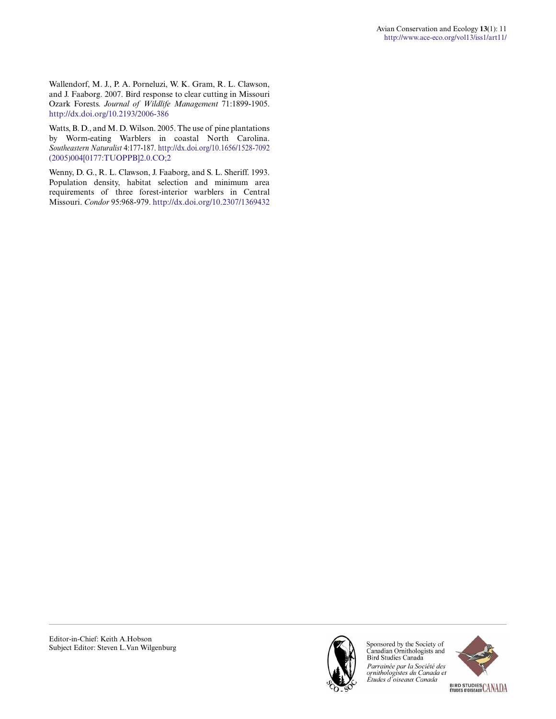Wallendorf, M. J., P. A. Porneluzi, W. K. Gram, R. L. Clawson, and J. Faaborg. 2007. Bird response to clear cutting in Missouri Ozark Forests. *Journal of Wildlife Management* 71:1899-1905. [http://dx.doi.org/10.2193/2006-386](http://dx.doi.org/10.2193%2F2006-386) 

Watts, B. D., and M. D. Wilson. 2005. The use of pine plantations by Worm-eating Warblers in coastal North Carolina. *Southeastern Naturalist* 4:177-187. [http://dx.doi.org/10.1656/1528-7092](http://dx.doi.org/10.1656%2F1528-7092%282005%29004%5B0177%3ATUOPPB%5D2.0.CO%3B2) [\(2005\)004\[0177:TUOPPB\]2.0.CO;2](http://dx.doi.org/10.1656%2F1528-7092%282005%29004%5B0177%3ATUOPPB%5D2.0.CO%3B2)

Wenny, D. G., R. L. Clawson, J. Faaborg, and S. L. Sheriff. 1993. Population density, habitat selection and minimum area requirements of three forest-interior warblers in Central Missouri. *Condor* 95:968-979. [http://dx.doi.org/10.2307/1369432](http://dx.doi.org/10.2307%2F1369432)



Sponsored by the Society of<br>Canadian Ornithologists and<br>Bird Studies Canada Parrainée par la Société des ornithologistes du Canada et<br>Études d`oiseaux Canada



BIRD STUDIES CANADA